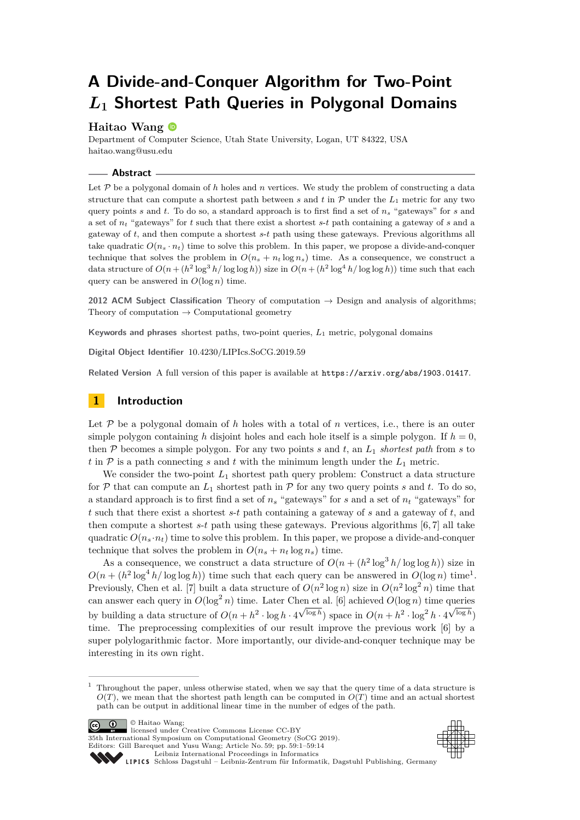# **A Divide-and-Conquer Algorithm for Two-Point** *L***<sup>1</sup> Shortest Path Queries in Polygonal Domains**

# **Haitao Wang**

Department of Computer Science, Utah State University, Logan, UT 84322, USA [haitao.wang@usu.edu](mailto:haitao.wang@usu.edu)

# **Abstract**

Let  $P$  be a polygonal domain of h holes and n vertices. We study the problem of constructing a data structure that can compute a shortest path between *s* and *t* in  $\mathcal{P}$  under the  $L_1$  metric for any two query points *s* and *t*. To do so, a standard approach is to first find a set of *n<sup>s</sup>* "gateways" for *s* and a set of *n<sup>t</sup>* "gateways" for *t* such that there exist a shortest *s*-*t* path containing a gateway of *s* and a gateway of *t*, and then compute a shortest *s*-*t* path using these gateways. Previous algorithms all take quadratic  $O(n_s \cdot n_t)$  time to solve this problem. In this paper, we propose a divide-and-conquer technique that solves the problem in  $O(n_s + n_t \log n_s)$  time. As a consequence, we construct a data structure of  $O(n + (h^2 \log^3 h/\log \log h))$  size in  $O(n + (h^2 \log^4 h/\log \log h))$  time such that each query can be answered in  $O(\log n)$  time.

**2012 ACM Subject Classification** Theory of computation → Design and analysis of algorithms; Theory of computation  $\rightarrow$  Computational geometry

**Keywords and phrases** shortest paths, two-point queries, *L*<sup>1</sup> metric, polygonal domains

**Digital Object Identifier** [10.4230/LIPIcs.SoCG.2019.59](https://doi.org/10.4230/LIPIcs.SoCG.2019.59)

**Related Version** A full version of this paper is available at <https://arxiv.org/abs/1903.01417>.

# **1 Introduction**

Let  $P$  be a polygonal domain of  $h$  holes with a total of  $n$  vertices, i.e., there is an outer simple polygon containing *h* disjoint holes and each hole itself is a simple polygon. If  $h = 0$ , then  $P$  becomes a simple polygon. For any two points  $s$  and  $t$ , an  $L_1$  *shortest path* from  $s$  to *t* in  $P$  is a path connecting *s* and *t* with the minimum length under the  $L_1$  metric.

We consider the two-point  $L_1$  shortest path query problem: Construct a data structure for  $P$  that can compute an  $L_1$  shortest path in  $P$  for any two query points *s* and *t*. To do so, a standard approach is to first find a set of *n<sup>s</sup>* "gateways" for *s* and a set of *n<sup>t</sup>* "gateways" for *t* such that there exist a shortest *s*-*t* path containing a gateway of *s* and a gateway of *t*, and then compute a shortest *s*-*t* path using these gateways. Previous algorithms [\[6,](#page-12-0) [7\]](#page-12-1) all take quadratic  $O(n_s \cdot n_t)$  time to solve this problem. In this paper, we propose a divide-and-conquer technique that solves the problem in  $O(n_s + n_t \log n_s)$  time.

As a consequence, we construct a data structure of  $O(n + (h^2 \log^3 h/\log \log h))$  size in  $O(n + (h^2 \log^4 h/\log \log h))$  time such that each query can be answered in  $O(\log n)$  time<sup>[1](#page-0-0)</sup>. Previously, Chen et al. [\[7\]](#page-12-1) built a data structure of  $O(n^2 \log n)$  size in  $O(n^2 \log^2 n)$  time that can answer each query in  $O(\log^2 n)$  time. Later Chen et al. [\[6\]](#page-12-0) achieved  $O(\log n)$  time queries by building a data structure of  $O(n + h^2 \cdot \log h \cdot 4^{\sqrt{\log h}})$  space in  $O(n + h^2 \cdot \log^2 h \cdot 4^{\sqrt{\log h}})$ time. The preprocessing complexities of our result improve the previous work [\[6\]](#page-12-0) by a super polylogarithmic factor. More importantly, our divide-and-conquer technique may be interesting in its own right.





35th International Symposium on Computational Geometry (SoCG 2019).

Editors: Gill Barequet and Yusu Wang; Article No. 59; pp. 59:1–59[:14](#page-13-0) [Leibniz International Proceedings in Informatics](https://www.dagstuhl.de/lipics/)

<span id="page-0-0"></span><sup>1</sup> Throughout the paper, unless otherwise stated, when we say that the query time of a data structure is  $O(T)$ , we mean that the shortest path length can be computed in  $O(T)$  time and an actual shortest path can be output in additional linear time in the number of edges of the path.

[Schloss Dagstuhl – Leibniz-Zentrum für Informatik, Dagstuhl Publishing, Germany](https://www.dagstuhl.de)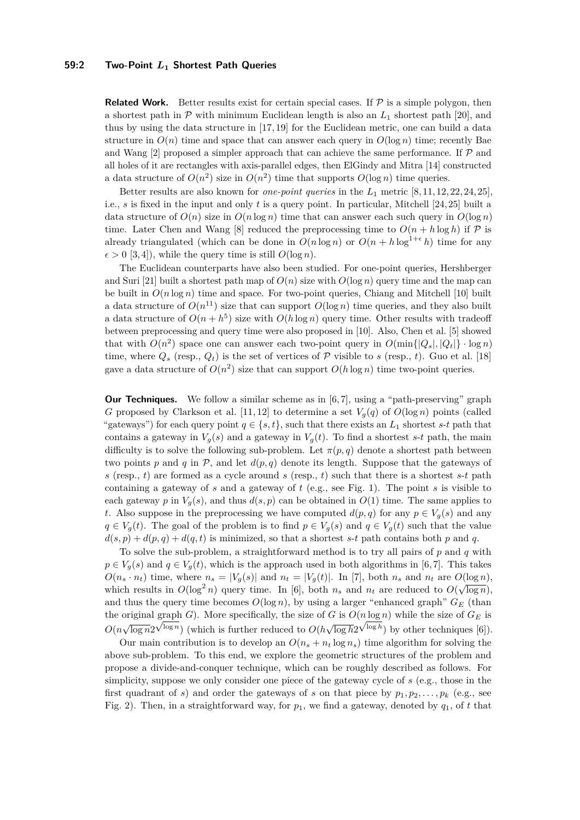## **59:2 Two-Point** *L***<sup>1</sup> Shortest Path Queries**

**Related Work.** Better results exist for certain special cases. If  $\mathcal{P}$  is a simple polygon, then a shortest path in  $P$  with minimum Euclidean length is also an  $L_1$  shortest path [\[20\]](#page-13-1), and thus by using the data structure in [\[17,](#page-13-2) [19\]](#page-13-3) for the Euclidean metric, one can build a data structure in  $O(n)$  time and space that can answer each query in  $O(\log n)$  time; recently Bae and Wang  $[2]$  proposed a simpler approach that can achieve the same performance. If  $\mathcal P$  and all holes of it are rectangles with axis-parallel edges, then ElGindy and Mitra [\[14\]](#page-12-3) constructed a data structure of  $O(n^2)$  size in  $O(n^2)$  time that supports  $O(\log n)$  time queries.

Better results are also known for *one-point queries* in the *L*<sup>1</sup> metric [\[8,](#page-12-4) [11,](#page-12-5) [12,](#page-12-6) [22,](#page-13-4) [24,](#page-13-5) [25\]](#page-13-6), i.e., *s* is fixed in the input and only *t* is a query point. In particular, Mitchell [\[24,](#page-13-5) [25\]](#page-13-6) built a data structure of  $O(n)$  size in  $O(n \log n)$  time that can answer each such query in  $O(\log n)$ time. Later Chen and Wang [\[8\]](#page-12-4) reduced the preprocessing time to  $O(n + h \log h)$  if P is already triangulated (which can be done in  $O(n \log n)$  or  $O(n + h \log^{1+\epsilon} h)$  time for any  $\epsilon > 0$  [\[3,](#page-12-7)4]), while the query time is still  $O(\log n)$ .

The Euclidean counterparts have also been studied. For one-point queries, Hershberger and Suri [\[21\]](#page-13-7) built a shortest path map of  $O(n)$  size with  $O(\log n)$  query time and the map can be built in  $O(n \log n)$  time and space. For two-point queries, Chiang and Mitchell [\[10\]](#page-12-9) built a data structure of  $O(n^{11})$  size that can support  $O(\log n)$  time queries, and they also built a data structure of  $O(n + h^5)$  size with  $O(h \log n)$  query time. Other results with tradeoff between preprocessing and query time were also proposed in [\[10\]](#page-12-9). Also, Chen et al. [\[5\]](#page-12-10) showed that with  $O(n^2)$  space one can answer each two-point query in  $O(\min\{|Q_s|, |Q_t|\} \cdot \log n)$ time, where  $Q_s$  (resp.,  $Q_t$ ) is the set of vertices of  $P$  visible to *s* (resp., *t*). Guo et al. [\[18\]](#page-13-8) gave a data structure of  $O(n^2)$  size that can support  $O(h \log n)$  time two-point queries.

<span id="page-1-0"></span>**Our Techniques.** We follow a similar scheme as in [\[6,](#page-12-0) [7\]](#page-12-1), using a "path-preserving" graph *G* proposed by Clarkson et al. [\[11,](#page-12-5) [12\]](#page-12-6) to determine a set  $V_q(q)$  of  $O(\log n)$  points (called "gateways") for each query point  $q \in \{s, t\}$ , such that there exists an  $L_1$  shortest  $s$ -*t* path that contains a gateway in  $V_g(s)$  and a gateway in  $V_g(t)$ . To find a shortest *s*-*t* path, the main difficulty is to solve the following sub-problem. Let  $\pi(p,q)$  denote a shortest path between two points p and q in  $P$ , and let  $d(p,q)$  denote its length. Suppose that the gateways of *s* (resp., *t*) are formed as a cycle around *s* (resp., *t*) such that there is a shortest *s*-*t* path containing a gateway of *s* and a gateway of *t* (e.g., see Fig. [1\)](#page-2-0). The point *s* is visible to each gateway *p* in  $V_q(s)$ , and thus  $d(s, p)$  can be obtained in  $O(1)$  time. The same applies to *t*. Also suppose in the preprocessing we have computed  $d(p,q)$  for any  $p \in V_q(s)$  and any *q* ∈ *V<sub>g</sub>*(*t*). The goal of the problem is to find *p* ∈ *V<sub>g</sub>*(*s*) and *q* ∈ *V<sub>g</sub>*(*t*) such that the value  $d(s, p) + d(p, q) + d(q, t)$  is minimized, so that a shortest *s*-*t* path contains both *p* and *q*.

To solve the sub-problem, a straightforward method is to try all pairs of *p* and *q* with  $p \in V_g(s)$  and  $q \in V_g(t)$ , which is the approach used in both algorithms in [\[6,](#page-12-0)7]. This takes  $O(n_s \cdot n_t)$  time, where  $n_s = |V_g(s)|$  and  $n_t = |V_g(t)|$ . In [\[7\]](#page-12-1), both  $n_s$  and  $n_t$  are  $O(\log n)$ . which results in  $O(\log^2 n)$  query time. In [\[6\]](#page-12-0), both  $n_s$  and  $n_t$  are reduced to  $O(\sqrt{\log n})$ , and thus the query time becomes  $O(\log n)$ , by using a larger "enhanced graph"  $G_E$  (than the original graph *G*). More specifically, the size of *G* is  $O(n \log n)$  while the size of  $G_E$  is  $O(n\sqrt{\log n}2^{\sqrt{\log n}})$  (which is further reduced to  $O(h\sqrt{\log h}2^{\sqrt{\log h}})$  by other techniques [\[6\]](#page-12-0)).

Our main contribution is to develop an  $O(n_s + n_t \log n_s)$  time algorithm for solving the above sub-problem. To this end, we explore the geometric structures of the problem and propose a divide-and-conquer technique, which can be roughly described as follows. For simplicity, suppose we only consider one piece of the gateway cycle of *s* (e.g., those in the first quadrant of *s*) and order the gateways of *s* on that piece by  $p_1, p_2, \ldots, p_k$  (e.g., see Fig. [2\)](#page-2-0). Then, in a straightforward way, for  $p_1$ , we find a gateway, denoted by  $q_1$ , of t that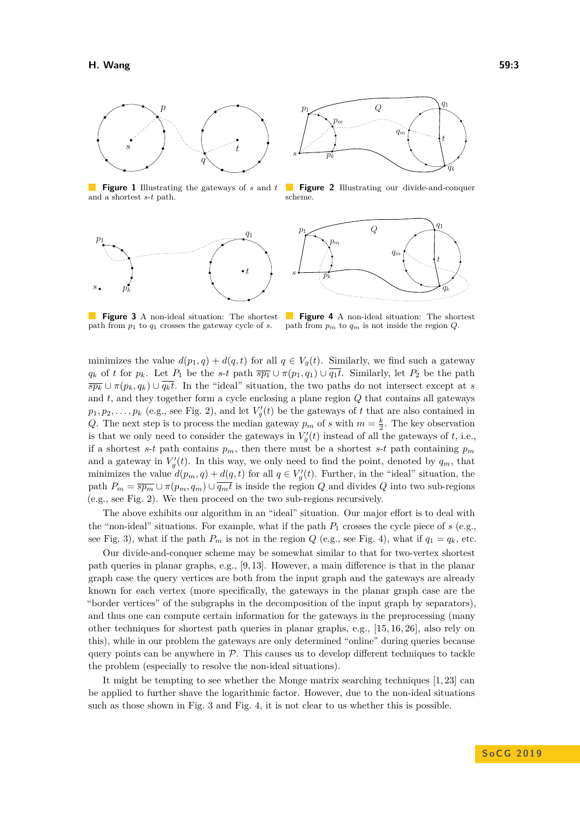<span id="page-2-0"></span>

**Figure 1** Illustrating the gateways of *s* and *t* and a shortest *s*-*t* path.

<span id="page-2-1"></span>



**Figure 2** Illustrating our divide-and-conquer scheme.



path from *p*<sup>1</sup> to *q*<sup>1</sup> crosses the gateway cycle of *s*.

**Figure 3** A non-ideal situation: The shortest **Figure 4** A non-ideal situation: The shortest path from *p<sup>m</sup>* to *q<sup>m</sup>* is not inside the region *Q*.

minimizes the value  $d(p_1, q) + d(q, t)$  for all  $q \in V_q(t)$ . Similarly, we find such a gateway *q*<sub>*k*</sub> of *t* for  $p_k$ . Let  $P_1$  be the *s*-*t* path  $\overline{sp_1} \cup \pi(p_1, q_1) \cup \overline{q_1 t}$ . Similarly, let  $P_2$  be the path  $\overline{sp_k} \cup \pi(p_k, q_k) \cup \overline{q_kt}$ . In the "ideal" situation, the two paths do not intersect except at *s* and *t*, and they together form a cycle enclosing a plane region *Q* that contains all gateways  $p_1, p_2, \ldots, p_k$  (e.g., see Fig. [2\)](#page-2-0), and let  $V'_g(t)$  be the gateways of *t* that are also contained in *Q*. The next step is to process the median gateway  $p_m$  of *s* with  $m = \frac{k}{2}$ . The key observation is that we only need to consider the gateways in  $V_g'(t)$  instead of all the gateways of *t*, i.e., if a shortest *s*-*t* path contains  $p_m$ , then there must be a shortest *s*-*t* path containing  $p_m$ and a gateway in  $V'_g(t)$ . In this way, we only need to find the point, denoted by  $q_m$ , that minimizes the value  $d(p_m, q) + d(q, t)$  for all  $q \in V'_g(t)$ . Further, in the "ideal" situation, the path  $P_m = \overline{sp_m} \cup \pi(p_m, q_m) \cup \overline{q_m t}$  is inside the region *Q* and divides *Q* into two sub-regions (e.g., see Fig. [2\)](#page-2-0). We then proceed on the two sub-regions recursively.

The above exhibits our algorithm in an "ideal" situation. Our major effort is to deal with the "non-ideal" situations. For example, what if the path  $P_1$  crosses the cycle piece of  $s$  (e.g., see Fig. [3\)](#page-2-1), what if the path  $P_m$  is not in the region *Q* (e.g., see Fig. [4\)](#page-2-1), what if  $q_1 = q_k$ , etc.

Our divide-and-conquer scheme may be somewhat similar to that for two-vertex shortest path queries in planar graphs, e.g., [\[9,](#page-12-11) [13\]](#page-12-12). However, a main difference is that in the planar graph case the query vertices are both from the input graph and the gateways are already known for each vertex (more specifically, the gateways in the planar graph case are the "border vertices" of the subgraphs in the decomposition of the input graph by separators), and thus one can compute certain information for the gateways in the preprocessing (many other techniques for shortest path queries in planar graphs, e.g., [\[15,](#page-12-13) [16,](#page-13-9) [26\]](#page-13-10), also rely on this), while in our problem the gateways are only determined "online" during queries because query points can be anywhere in  $P$ . This causes us to develop different techniques to tackle the problem (especially to resolve the non-ideal situations).

It might be tempting to see whether the Monge matrix searching techniques [\[1,](#page-12-14) [23\]](#page-13-11) can be applied to further shave the logarithmic factor. However, due to the non-ideal situations such as those shown in Fig. [3](#page-2-1) and Fig. [4,](#page-2-1) it is not clear to us whether this is possible.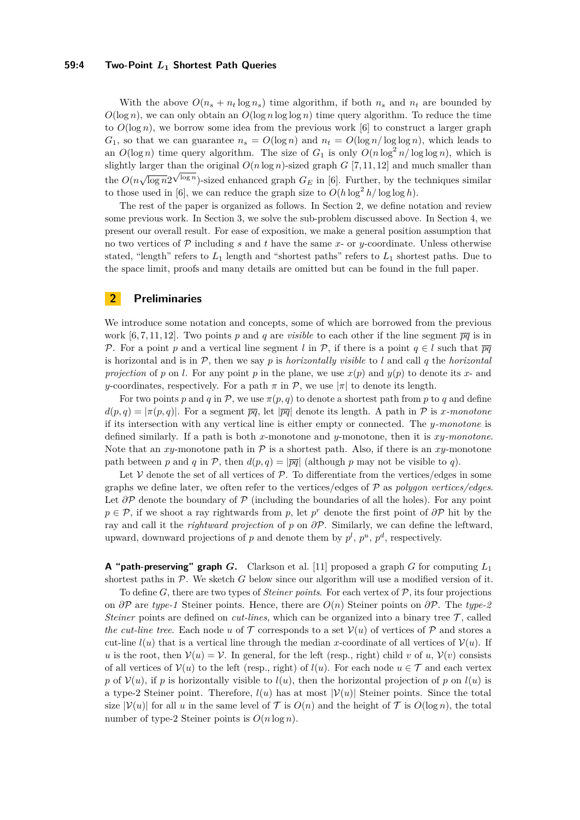## **59:4 Two-Point** *L***<sup>1</sup> Shortest Path Queries**

With the above  $O(n_s + n_t \log n_s)$  time algorithm, if both  $n_s$  and  $n_t$  are bounded by  $O(\log n)$ , we can only obtain an  $O(\log n \log \log n)$  time query algorithm. To reduce the time to  $O(\log n)$ , we borrow some idea from the previous work [\[6\]](#page-12-0) to construct a larger graph *G*<sub>1</sub>, so that we can guarantee  $n_s = O(\log n)$  and  $n_t = O(\log n / \log \log n)$ , which leads to an  $O(\log n)$  time query algorithm. The size of  $G_1$  is only  $O(n \log^2 n / \log \log n)$ , which is slightly larger than the original  $O(n \log n)$ -sized graph  $G$  [\[7,](#page-12-1) [11,](#page-12-5) [12\]](#page-12-6) and much smaller than the  $O(n\sqrt{\log n}2^{\sqrt{\log n}})$ -sized enhanced graph  $G_E$  in [\[6\]](#page-12-0). Further, by the techniques similar to those used in [\[6\]](#page-12-0), we can reduce the graph size to  $O(h \log^2 h / \log \log h)$ .

The rest of the paper is organized as follows. In Section [2,](#page-3-0) we define notation and review some previous work. In Section [3,](#page-5-0) we solve the sub-problem discussed above. In Section [4,](#page-11-0) we present our overall result. For ease of exposition, we make a general position assumption that no two vertices of  $P$  including *s* and *t* have the same *x*- or *y*-coordinate. Unless otherwise stated, "length" refers to  $L_1$  length and "shortest paths" refers to  $L_1$  shortest paths. Due to the space limit, proofs and many details are omitted but can be found in the full paper.

# <span id="page-3-0"></span>**2 Preliminaries**

We introduce some notation and concepts, some of which are borrowed from the previous work  $[6, 7, 11, 12]$  $[6, 7, 11, 12]$  $[6, 7, 11, 12]$  $[6, 7, 11, 12]$ . Two points p and q are *visible* to each other if the line segment  $\overline{pq}$  is in P. For a point p and a vertical line segment *l* in  $\mathcal{P}$ , if there is a point  $q \in l$  such that  $\overline{pq}$ is horizontal and is in P, then we say *p* is *horizontally visible* to *l* and call *q* the *horizontal projection* of *p* on *l*. For any point *p* in the plane, we use  $x(p)$  and  $y(p)$  to denote its *x*- and *y*-coordinates, respectively. For a path  $\pi$  in P, we use  $|\pi|$  to denote its length.

For two points *p* and *q* in P, we use  $\pi(p,q)$  to denote a shortest path from *p* to *q* and define  $d(p,q) = |\pi(p,q)|$ . For a segment  $\overline{pq}$ , let  $|\overline{pq}|$  denote its length. A path in P is *x-monotone* if its intersection with any vertical line is either empty or connected. The *y-monotone* is defined similarly. If a path is both *x*-monotone and *y*-monotone, then it is *xy-monotone*. Note that an *xy*-monotone path in  $P$  is a shortest path. Also, if there is an *xy*-monotone path between *p* and *q* in *P*, then  $d(p, q) = |\overline{pq}|$  (although *p* may not be visible to *q*).

Let  $V$  denote the set of all vertices of  $\mathcal{P}$ . To differentiate from the vertices/edges in some graphs we define later, we often refer to the vertices/edges of P as *polygon vertices/edges*. Let  $\partial \mathcal{P}$  denote the boundary of  $\mathcal{P}$  (including the boundaries of all the holes). For any point *p* ∈ P, if we shoot a ray rightwards from *p*, let *p*<sup>*r*</sup> denote the first point of  $\partial P$  hit by the ray and call it the *rightward projection* of *p* on *∂*P. Similarly, we can define the leftward, upward, downward projections of  $p$  and denote them by  $p^l$ ,  $p^u$ ,  $p^d$ , respectively.

**A "path-preserving" graph** *G***.** Clarkson et al. [\[11\]](#page-12-5) proposed a graph *G* for computing *L*<sup>1</sup> shortest paths in  $P$ . We sketch  $G$  below since our algorithm will use a modified version of it.

To define *G*, there are two types of *Steiner points*. For each vertex of P, its four projections on *∂*P are *type-1* Steiner points. Hence, there are *O*(*n*) Steiner points on *∂*P. The *type-2 Steiner* points are defined on *cut-lines*, which can be organized into a binary tree  $\mathcal{T}$ , called *the cut-line tree.* Each node *u* of  $\mathcal T$  corresponds to a set  $\mathcal V(u)$  of vertices of  $\mathcal P$  and stores a cut-line  $l(u)$  that is a vertical line through the median *x*-coordinate of all vertices of  $V(u)$ . If *u* is the root, then  $V(u) = V$ . In general, for the left (resp., right) child *v* of *u*,  $V(v)$  consists of all vertices of  $V(u)$  to the left (resp., right) of  $l(u)$ . For each node  $u \in \mathcal{T}$  and each vertex *p* of  $V(u)$ , if *p* is horizontally visible to  $l(u)$ , then the horizontal projection of *p* on  $l(u)$  is a type-2 Steiner point. Therefore,  $l(u)$  has at most  $|\mathcal{V}(u)|$  Steiner points. Since the total size  $|\mathcal{V}(u)|$  for all *u* in the same level of  $\mathcal T$  is  $O(n)$  and the height of  $\mathcal T$  is  $O(\log n)$ , the total number of type-2 Steiner points is  $O(n \log n)$ .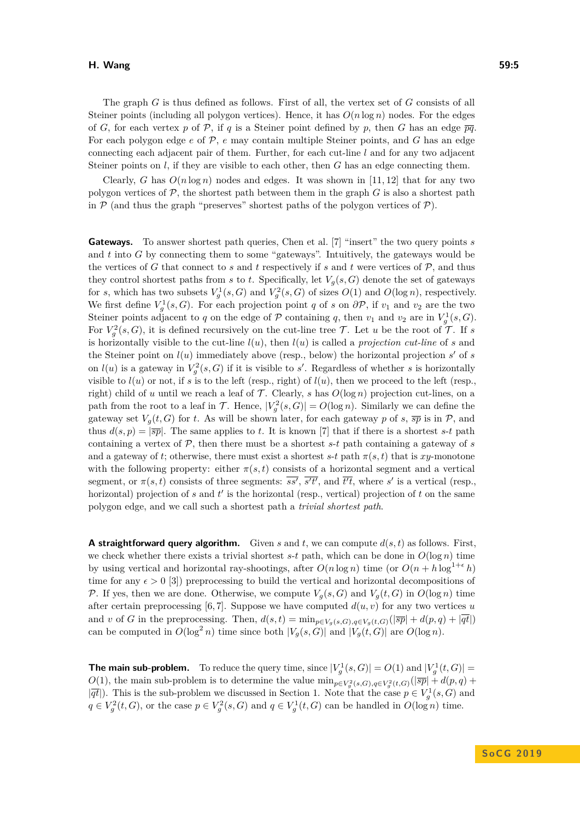## **H. Wang 59:5**

The graph *G* is thus defined as follows. First of all, the vertex set of *G* consists of all Steiner points (including all polygon vertices). Hence, it has  $O(n \log n)$  nodes. For the edges of *G*, for each vertex *p* of *P*, if *q* is a Steiner point defined by *p*, then *G* has an edge  $\overline{pq}$ . For each polygon edge *e* of P, *e* may contain multiple Steiner points, and *G* has an edge connecting each adjacent pair of them. Further, for each cut-line *l* and for any two adjacent Steiner points on *l*, if they are visible to each other, then *G* has an edge connecting them.

Clearly, *G* has  $O(n \log n)$  nodes and edges. It was shown in [\[11,](#page-12-5) [12\]](#page-12-6) that for any two polygon vertices of  $P$ , the shortest path between them in the graph  $G$  is also a shortest path in  $P$  (and thus the graph "preserves" shortest paths of the polygon vertices of  $P$ ).

**Gateways.** To answer shortest path queries, Chen et al. [\[7\]](#page-12-1) "insert" the two query points *s* and *t* into *G* by connecting them to some "gateways". Intuitively, the gateways would be the vertices of *G* that connect to *s* and *t* respectively if *s* and *t* were vertices of  $P$ , and thus they control shortest paths from *s* to *t*. Specifically, let  $V_g(s, G)$  denote the set of gateways for *s*, which has two subsets  $V_g^1(s, G)$  and  $V_g^2(s, G)$  of sizes  $O(1)$  and  $O(\log n)$ , respectively. We first define  $V_g^1(s, G)$ . For each projection point *q* of *s* on  $\partial \mathcal{P}$ , if  $v_1$  and  $v_2$  are the two Steiner points adjacent to *q* on the edge of  $P$  containing *q*, then *v*<sub>1</sub> and *v*<sub>2</sub> are in  $V_g^1(s, G)$ . For  $V_g^2(s, G)$ , it is defined recursively on the cut-line tree T. Let *u* be the root of T. If *s* is horizontally visible to the cut-line *l*(*u*), then *l*(*u*) is called a *projection cut-line* of *s* and the Steiner point on  $l(u)$  immediately above (resp., below) the horizontal projection  $s'$  of  $s$ on  $l(u)$  is a gateway in  $V_g^2(s, G)$  if it is visible to *s'*. Regardless of whether *s* is horizontally visible to  $l(u)$  or not, if *s* is to the left (resp., right) of  $l(u)$ , then we proceed to the left (resp., right) child of *u* until we reach a leaf of  $\mathcal T$ . Clearly, *s* has  $O(\log n)$  projection cut-lines, on a path from the root to a leaf in  $\mathcal{T}$ . Hence,  $|V_g^2(s, G)| = O(\log n)$ . Similarly we can define the gateway set  $V_g(t, G)$  for *t*. As will be shown later, for each gateway *p* of *s*,  $\overline{sp}$  is in *P*, and thus  $d(s, p) = |\overline{sp}|$ . The same applies to *t*. It is known [\[7\]](#page-12-1) that if there is a shortest *s*-*t* path containing a vertex of  $P$ , then there must be a shortest  $s$ - $t$  path containing a gateway of  $s$ and a gateway of *t*; otherwise, there must exist a shortest  $s$ -*t* path  $\pi(s, t)$  that is  $xy$ -monotone with the following property: either  $\pi(s,t)$  consists of a horizontal segment and a vertical segment, or  $\pi(s,t)$  consists of three segments:  $\overline{ss'}, \overline{s't'},$  and  $\overline{t't}$ , where  $s'$  is a vertical (resp., horizontal) projection of  $s$  and  $t'$  is the horizontal (resp., vertical) projection of  $t$  on the same polygon edge, and we call such a shortest path a *trivial shortest path*.

**A straightforward query algorithm.** Given *s* and *t*, we can compute *d*(*s, t*) as follows. First, we check whether there exists a trivial shortest  $s$ -*t* path, which can be done in  $O(\log n)$  time by using vertical and horizontal ray-shootings, after  $O(n \log n)$  time (or  $O(n + h \log^{1+\epsilon} h)$ ) time for any  $\epsilon > 0$  [\[3\]](#page-12-7)) preprocessing to build the vertical and horizontal decompositions of P. If yes, then we are done. Otherwise, we compute  $V_q(s, G)$  and  $V_q(t, G)$  in  $O(\log n)$  time after certain preprocessing  $[6, 7]$  $[6, 7]$ . Suppose we have computed  $d(u, v)$  for any two vertices *u* and *v* of *G* in the preprocessing. Then,  $d(s,t) = \min_{p \in V_a(s,G), q \in V_a(t,G)}(|\overline{sp}| + d(p,q) + |\overline{qt}|)$ can be computed in  $O(\log^2 n)$  time since both  $|V_g(s, G)|$  and  $|V_g(t, G)|$  are  $O(\log n)$ .

**The main sub-problem.** To reduce the query time, since  $|V_g^1(s, G)| = O(1)$  and  $|V_g^1(t, G)| =$ *O*(1), the main sub-problem is to determine the value  $\min_{p \in V_q^2(s,G), q \in V_q^2(t,G)}(|\overline{sp}| + d(p,q) +$  $|\overline{qt}|$ ). This is the sub-problem we discussed in Section [1.](#page-1-0) Note that the case  $p \in V_g^1(s, G)$  and  $q \in V_g^2(t, G)$ , or the case  $p \in V_g^2(s, G)$  and  $q \in V_g^1(t, G)$  can be handled in  $O(\log n)$  time.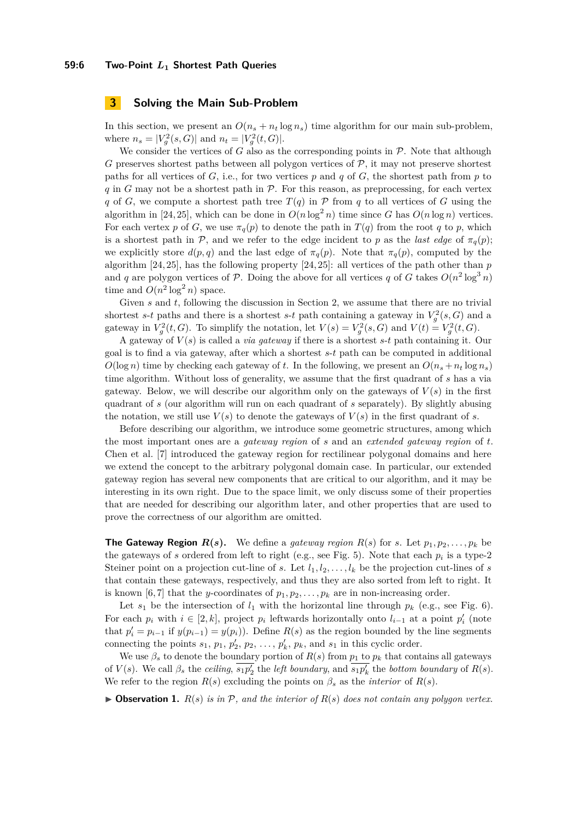# <span id="page-5-0"></span>**3 Solving the Main Sub-Problem**

In this section, we present an  $O(n_s + n_t \log n_s)$  time algorithm for our main sub-problem, where  $n_s = |V_g^2(s, G)|$  and  $n_t = |V_g^2(t, G)|$ .

We consider the vertices of  $G$  also as the corresponding points in  $P$ . Note that although  $G$  preserves shortest paths between all polygon vertices of  $P$ , it may not preserve shortest paths for all vertices of  $G$ , i.e., for two vertices  $p$  and  $q$  of  $G$ , the shortest path from  $p$  to  $q$  in  $G$  may not be a shortest path in  $P$ . For this reason, as preprocessing, for each vertex *q* of *G*, we compute a shortest path tree  $T(q)$  in  $P$  from *q* to all vertices of *G* using the algorithm in [\[24,](#page-13-5) [25\]](#page-13-6), which can be done in  $O(n \log^2 n)$  time since *G* has  $O(n \log n)$  vertices. For each vertex *p* of *G*, we use  $\pi_q(p)$  to denote the path in  $T(q)$  from the root *q* to *p*, which is a shortest path in P, and we refer to the edge incident to p as the *last edge* of  $\pi_q(p)$ ; we explicitly store  $d(p, q)$  and the last edge of  $\pi_q(p)$ . Note that  $\pi_q(p)$ , computed by the algorithm [\[24,](#page-13-5) [25\]](#page-13-6), has the following property [\[24,](#page-13-5) [25\]](#page-13-6): all vertices of the path other than *p* and *q* are polygon vertices of P. Doing the above for all vertices *q* of *G* takes  $O(n^2 \log^3 n)$ time and  $O(n^2 \log^2 n)$  space.

Given *s* and *t*, following the discussion in Section [2,](#page-3-0) we assume that there are no trivial shortest *s*-*t* paths and there is a shortest *s*-*t* path containing a gateway in  $V_g^2(s, G)$  and a gateway in  $V_g^2(t, G)$ . To simplify the notation, let  $V(s) = V_g^2(s, G)$  and  $V(t) = V_g^2(t, G)$ .

A gateway of *V* (*s*) is called a *via gateway* if there is a shortest *s*-*t* path containing it. Our goal is to find a via gateway, after which a shortest *s*-*t* path can be computed in additional  $O(\log n)$  time by checking each gateway of *t*. In the following, we present an  $O(n_s + n_t \log n_s)$ time algorithm. Without loss of generality, we assume that the first quadrant of *s* has a via gateway. Below, we will describe our algorithm only on the gateways of  $V(s)$  in the first quadrant of *s* (our algorithm will run on each quadrant of *s* separately). By slightly abusing the notation, we still use  $V(s)$  to denote the gateways of  $V(s)$  in the first quadrant of *s*.

Before describing our algorithm, we introduce some geometric structures, among which the most important ones are a *gateway region* of *s* and an *extended gateway region* of *t*. Chen et al. [\[7\]](#page-12-1) introduced the gateway region for rectilinear polygonal domains and here we extend the concept to the arbitrary polygonal domain case. In particular, our extended gateway region has several new components that are critical to our algorithm, and it may be interesting in its own right. Due to the space limit, we only discuss some of their properties that are needed for describing our algorithm later, and other properties that are used to prove the correctness of our algorithm are omitted.

**The Gateway Region**  $R(s)$ **.** We define a *gateway region*  $R(s)$  for *s*. Let  $p_1, p_2, \ldots, p_k$  be the gateways of *s* ordered from left to right (e.g., see Fig. [5\)](#page-6-0). Note that each *p<sup>i</sup>* is a type-2 Steiner point on a projection cut-line of *s*. Let  $l_1, l_2, \ldots, l_k$  be the projection cut-lines of *s* that contain these gateways, respectively, and thus they are also sorted from left to right. It is known [\[6,](#page-12-0)7] that the *y*-coordinates of  $p_1, p_2, \ldots, p_k$  are in non-increasing order.

Let  $s_1$  be the intersection of  $l_1$  with the horizontal line through  $p_k$  (e.g., see Fig. [6\)](#page-6-0). For each  $p_i$  with  $i \in [2, k]$ , project  $p_i$  leftwards horizontally onto  $l_{i-1}$  at a point  $p'_i$  (note that  $p'_{i} = p_{i-1}$  if  $y(p_{i-1}) = y(p_i)$ . Define  $R(s)$  as the region bounded by the line segments connecting the points  $s_1$ ,  $p_1$ ,  $p_2$ ,  $p_2$ , ...,  $p_k$ ,  $p_k$ , and  $s_1$  in this cyclic order.

We use  $\beta_s$  to denote the boundary portion of  $R(s)$  from  $p_1$  to  $p_k$  that contains all gateways of  $V(s)$ . We call  $\beta_s$  the *ceiling*,  $\overline{s_1p'_2}$  the *left boundary*, and  $\overline{s_1p'_k}$  the *bottom boundary* of  $R(s)$ . We refer to the region  $R(s)$  excluding the points on  $\beta_s$  as the *interior* of  $R(s)$ .

 $\triangleright$  **Observation 1.**  $R(s)$  *is in* P, and the interior of  $R(s)$  does not contain any polygon vertex.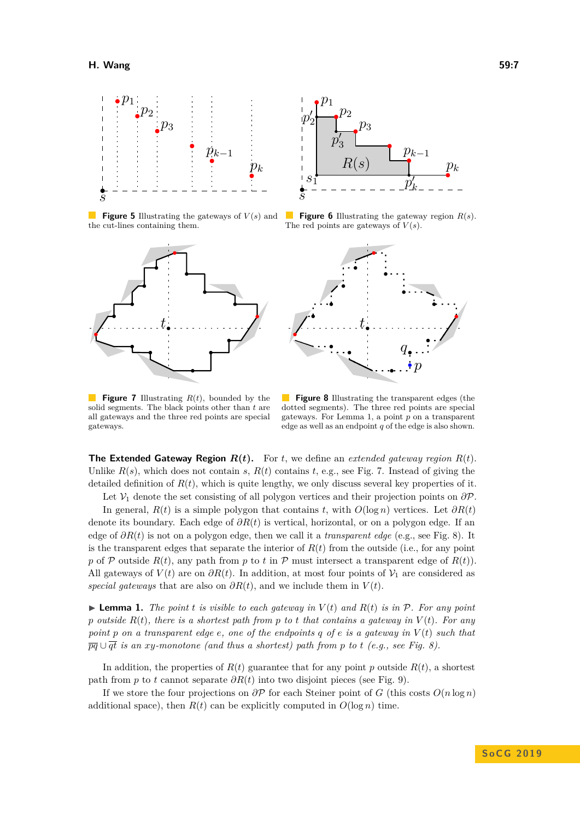<span id="page-6-0"></span>

**Figure 5** Illustrating the gateways of  $V(s)$  and the cut-lines containing them.

<span id="page-6-2"></span>



**Figure 6** Illustrating the gateway region *R*(*s*). The red points are gateways of  $V(s)$ .



**Figure 7** Illustrating *R*(*t*), bounded by the solid segments. The black points other than *t* are all gateways and the three red points are special gateways.

**Figure 8** Illustrating the transparent edges (the dotted segments). The three red points are special gateways. For Lemma [1,](#page-6-1) a point *p* on a transparent edge as well as an endpoint *q* of the edge is also shown.

**The Extended Gateway Region**  $R(t)$ **.** For *t*, we define an *extended gateway region*  $R(t)$ . Unlike  $R(s)$ , which does not contain *s*,  $R(t)$  contains *t*, e.g., see Fig. [7.](#page-6-2) Instead of giving the detailed definition of  $R(t)$ , which is quite lengthy, we only discuss several key properties of it.

Let  $\mathcal{V}_1$  denote the set consisting of all polygon vertices and their projection points on  $\partial \mathcal{P}$ .

In general,  $R(t)$  is a simple polygon that contains *t*, with  $O(\log n)$  vertices. Let  $\partial R(t)$ denote its boundary. Each edge of *∂R*(*t*) is vertical, horizontal, or on a polygon edge. If an edge of *∂R*(*t*) is not on a polygon edge, then we call it a *transparent edge* (e.g., see Fig. [8\)](#page-6-2). It is the transparent edges that separate the interior of  $R(t)$  from the outside (i.e., for any point *p* of P outside  $R(t)$ , any path from p to t in P must intersect a transparent edge of  $R(t)$ . All gateways of  $V(t)$  are on  $\partial R(t)$ . In addition, at most four points of  $\mathcal{V}_1$  are considered as *special gateways* that are also on  $\partial R(t)$ , and we include them in  $V(t)$ .

<span id="page-6-1"></span>**Example 1.** The point *t* is visible to each gateway in  $V(t)$  and  $R(t)$  is in  $P$ . For any point *p outside*  $R(t)$ *, there is a shortest path from p to t that contains a gateway in*  $V(t)$ *. For any point p on a transparent edge e, one of the endpoints q of e is a gateway in V* (*t*) *such that*  $\overline{pq} \cup \overline{qt}$  *is an xy*-monotone (and thus a shortest) path from p to t (e.g., see Fig. [8\)](#page-6-2).

In addition, the properties of  $R(t)$  guarantee that for any point *p* outside  $R(t)$ , a shortest path from *p* to *t* cannot separate *∂R*(*t*) into two disjoint pieces (see Fig. [9\)](#page-7-0).

If we store the four projections on *∂*P for each Steiner point of *G* (this costs *O*(*n* log *n*) additional space), then  $R(t)$  can be explicitly computed in  $O(\log n)$  time.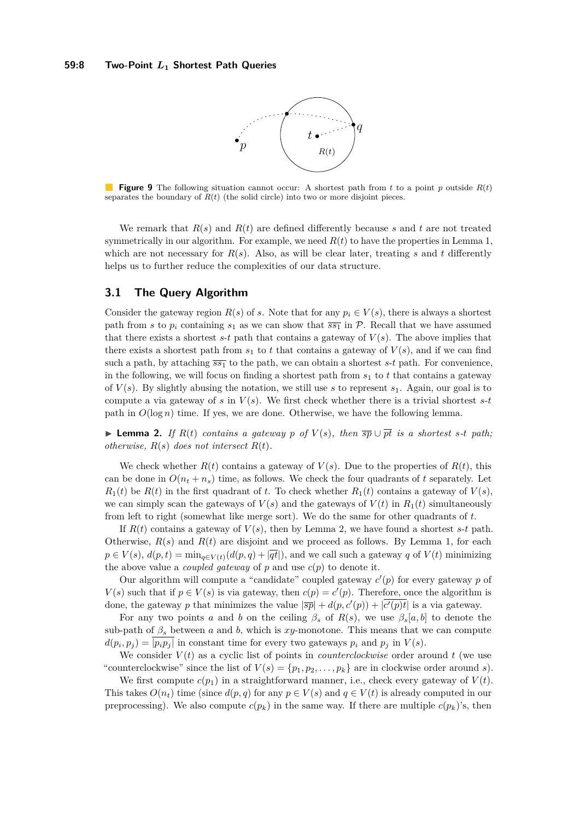

<span id="page-7-0"></span>**Figure 9** The following situation cannot occur: A shortest path from *t* to a point *p* outside *R*(*t*) separates the boundary of  $R(t)$  (the solid circle) into two or more disjoint pieces.

We remark that  $R(s)$  and  $R(t)$  are defined differently because *s* and *t* are not treated symmetrically in our algorithm. For example, we need  $R(t)$  to have the properties in Lemma [1,](#page-6-1) which are not necessary for  $R(s)$ . Also, as will be clear later, treating *s* and *t* differently helps us to further reduce the complexities of our data structure.

# **3.1 The Query Algorithm**

Consider the gateway region  $R(s)$  of *s*. Note that for any  $p_i \in V(s)$ , there is always a shortest path from *s* to  $p_i$  containing  $s_1$  as we can show that  $\overline{s_1}$  in P. Recall that we have assumed that there exists a shortest  $s$ -*t* path that contains a gateway of  $V(s)$ . The above implies that there exists a shortest path from  $s_1$  to  $t$  that contains a gateway of  $V(s)$ , and if we can find such a path, by attaching  $\overline{s}\overline{s_1}$  to the path, we can obtain a shortest *s*-*t* path. For convenience, in the following, we will focus on finding a shortest path from *s*<sup>1</sup> to *t* that contains a gateway of *V* (*s*). By slightly abusing the notation, we still use *s* to represent *s*1. Again, our goal is to compute a via gateway of *s* in  $V(s)$ . We first check whether there is a trivial shortest *s*-*t* path in  $O(\log n)$  time. If yes, we are done. Otherwise, we have the following lemma.

<span id="page-7-1"></span>▶ **Lemma 2.** If  $R(t)$  contains a gateway  $p$  of  $V(s)$ , then  $\overline{sp} \cup \overline{pt}$  is a shortest s-t path; *otherwise,*  $R(s)$  *does not intersect*  $R(t)$ *.* 

We check whether  $R(t)$  contains a gateway of  $V(s)$ . Due to the properties of  $R(t)$ , this can be done in  $O(n_t + n_s)$  time, as follows. We check the four quadrants of t separately. Let  $R_1(t)$  be  $R(t)$  in the first quadrant of *t*. To check whether  $R_1(t)$  contains a gateway of  $V(s)$ , we can simply scan the gateways of  $V(s)$  and the gateways of  $V(t)$  in  $R_1(t)$  simultaneously from left to right (somewhat like merge sort). We do the same for other quadrants of *t*.

If  $R(t)$  contains a gateway of  $V(s)$ , then by Lemma [2,](#page-7-1) we have found a shortest *s*-*t* path. Otherwise,  $R(s)$  and  $R(t)$  are disjoint and we proceed as follows. By Lemma [1,](#page-6-1) for each  $p \in V(s)$ ,  $d(p, t) = \min_{q \in V(t)} (d(p, q) + |\overline{qt}|)$ , and we call such a gateway *q* of  $V(t)$  minimizing the above value a *coupled gateway* of  $p$  and use  $c(p)$  to denote it.

Our algorithm will compute a "candidate" coupled gateway  $c'(p)$  for every gateway  $p$  of  $V(s)$  such that if  $p \in V(s)$  is via gateway, then  $c(p) = c'(p)$ . Therefore, once the algorithm is done, the gateway *p* that minimizes the value  $|\overline{sp}| + d(p, c'(p)) + |\overline{c'(p)t}|$  is a via gateway.

For any two points *a* and *b* on the ceiling  $\beta_s$  of  $R(s)$ , we use  $\beta_s[a, b]$  to denote the sub-path of  $\beta_s$  between *a* and *b*, which is *xy*-monotone. This means that we can compute  $d(p_i, p_j) = |p_i p_j|$  in constant time for every two gateways  $p_i$  and  $p_j$  in  $V(s)$ .

We consider  $V(t)$  as a cyclic list of points in *counterclockwise* order around  $t$  (we use "counterclockwise" since the list of  $V(s) = \{p_1, p_2, \ldots, p_k\}$  are in clockwise order around *s*).

We first compute  $c(p_1)$  in a straightforward manner, i.e., check every gateway of  $V(t)$ . This takes  $O(n_t)$  time (since  $d(p,q)$  for any  $p \in V(s)$  and  $q \in V(t)$  is already computed in our preprocessing). We also compute  $c(p_k)$  in the same way. If there are multiple  $c(p_k)$ 's, then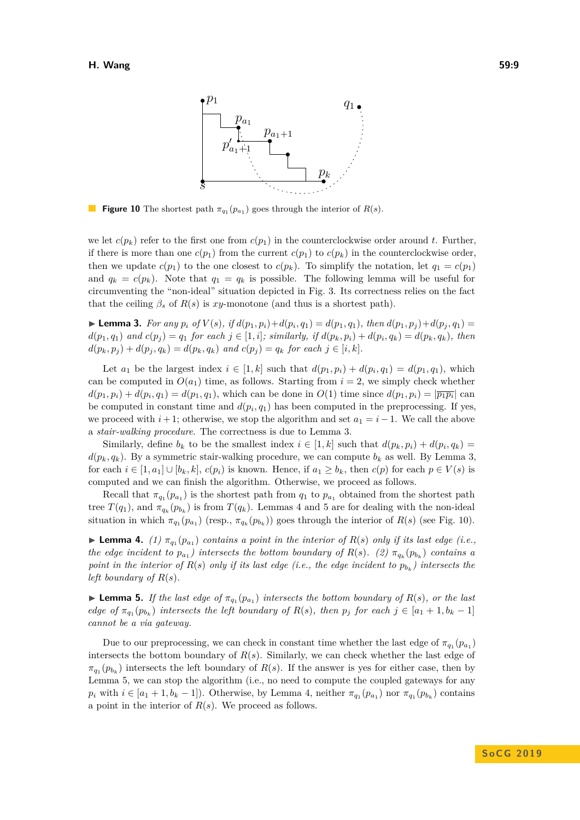<span id="page-8-3"></span>

**Figure 10** The shortest path  $\pi_{q_1}(p_{a_1})$  goes through the interior of  $R(s)$ .

we let  $c(p_k)$  refer to the first one from  $c(p_1)$  in the counterclockwise order around t. Further, if there is more than one  $c(p_1)$  from the current  $c(p_1)$  to  $c(p_k)$  in the counterclockwise order, then we update  $c(p_1)$  to the one closest to  $c(p_k)$ . To simplify the notation, let  $q_1 = c(p_1)$ and  $q_k = c(p_k)$ . Note that  $q_1 = q_k$  is possible. The following lemma will be useful for circumventing the "non-ideal" situation depicted in Fig. [3.](#page-2-1) Its correctness relies on the fact that the ceiling  $\beta_s$  of  $R(s)$  is *xy*-monotone (and thus is a shortest path).

<span id="page-8-0"></span>► Lemma 3. For any  $p_i$  of  $V(s)$ , if  $d(p_1, p_i) + d(p_i, q_1) = d(p_1, q_1)$ , then  $d(p_1, p_j) + d(p_j, q_1) =$  $d(p_1,q_1)$  and  $c(p_j) = q_1$  for each  $j \in [1,i]$ ; similarly, if  $d(p_k,p_i) + d(p_i,q_k) = d(p_k,q_k)$ , then  $d(p_k, p_i) + d(p_i, q_k) = d(p_k, q_k)$  and  $c(p_i) = q_k$  for each  $j \in [i, k]$ .

Let  $a_1$  be the largest index  $i \in [1, k]$  such that  $d(p_1, p_i) + d(p_i, q_1) = d(p_1, q_1)$ , which can be computed in  $O(a_1)$  time, as follows. Starting from  $i = 2$ , we simply check whether  $d(p_1, p_i) + d(p_i, q_1) = d(p_1, q_1)$ , which can be done in  $O(1)$  time since  $d(p_1, p_i) = |\overline{p_1 p_i}|$  can be computed in constant time and  $d(p_i, q_1)$  has been computed in the preprocessing. If yes, we proceed with  $i + 1$ ; otherwise, we stop the algorithm and set  $a_1 = i - 1$ . We call the above a *stair-walking procedure*. The correctness is due to Lemma [3.](#page-8-0)

Similarly, define  $b_k$  to be the smallest index  $i \in [1, k]$  such that  $d(p_k, p_i) + d(p_i, q_k) =$  $d(p_k, q_k)$ . By a symmetric stair-walking procedure, we can compute  $b_k$  as well. By Lemma [3,](#page-8-0) for each  $i \in [1, a_1] \cup [b_k, k]$ ,  $c(p_i)$  is known. Hence, if  $a_1 \geq b_k$ , then  $c(p)$  for each  $p \in V(s)$  is computed and we can finish the algorithm. Otherwise, we proceed as follows.

Recall that  $\pi_{q_1}(p_{a_1})$  is the shortest path from  $q_1$  to  $p_{a_1}$  obtained from the shortest path tree  $T(q_1)$ , and  $\pi_{q_k}(p_{b_k})$  is from  $T(q_k)$ . Lemmas [4](#page-8-1) and [5](#page-8-2) are for dealing with the non-ideal situation in which  $\pi_{q_1}(p_{a_1})$  (resp.,  $\pi_{q_k}(p_{b_k})$ ) goes through the interior of  $R(s)$  (see Fig. [10\)](#page-8-3).

<span id="page-8-1"></span>**Lemma 4.** (1)  $\pi_{q_1}(p_{a_1})$  contains a point in the interior of  $R(s)$  only if its last edge (i.e., *the edge incident to*  $p_{a_1}$ ) *intersects the bottom boundary of*  $R(s)$ *.* (2)  $\pi_{q_k}(p_{b_k})$  *contains a point in the interior of*  $R(s)$  *only if its last edge (i.e., the edge incident to*  $p_{b_k}$ ) *intersects the left boundary of*  $R(s)$ *.* 

<span id="page-8-2"></span>**Lemma 5.** *If the last edge of*  $\pi_{q_1}(p_{a_1})$  *intersects the bottom boundary of*  $R(s)$ *, or the last edge of*  $\pi_{q_1}(p_{b_k})$  *intersects the left boundary of*  $R(s)$ *, then*  $p_j$  *for each*  $j \in [a_1 + 1, b_k - 1]$ *cannot be a via gateway.*

Due to our preprocessing, we can check in constant time whether the last edge of  $\pi_{q_1}(p_{a_1})$ intersects the bottom boundary of  $R(s)$ . Similarly, we can check whether the last edge of  $\pi_{q_1}(p_{b_k})$  intersects the left boundary of *R*(*s*). If the answer is yes for either case, then by Lemma [5,](#page-8-2) we can stop the algorithm (i.e., no need to compute the coupled gateways for any  $p_i$  with  $i \in [a_1 + 1, b_k - 1]$ ). Otherwise, by Lemma [4,](#page-8-1) neither  $\pi_{q_1}(p_{a_1})$  nor  $\pi_{q_1}(p_{b_k})$  contains a point in the interior of *R*(*s*). We proceed as follows.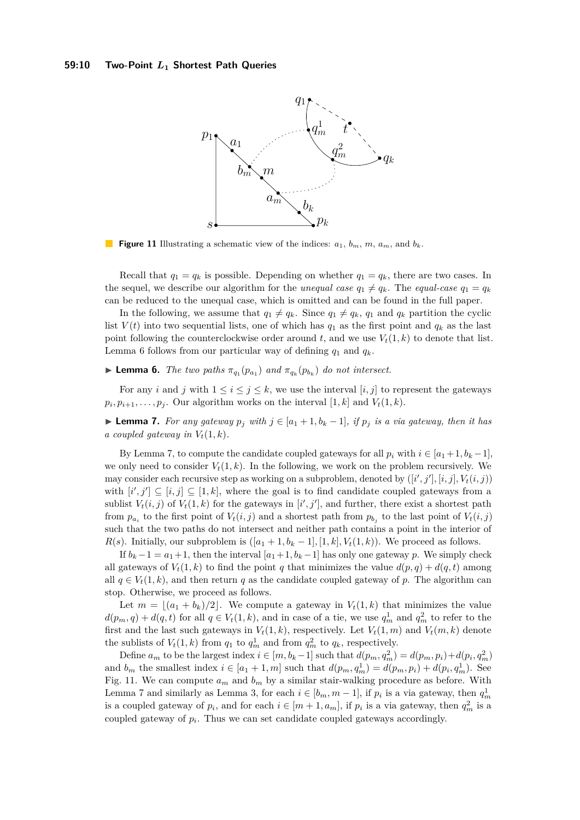## <span id="page-9-2"></span>**59:10 Two-Point** *L***<sup>1</sup> Shortest Path Queries**



**Figure 11** Illustrating a schematic view of the indices:  $a_1, b_m, m, a_m$ , and  $b_k$ .

Recall that  $q_1 = q_k$  is possible. Depending on whether  $q_1 = q_k$ , there are two cases. In the sequel, we describe our algorithm for the *unequal case*  $q_1 \neq q_k$ . The *equal-case*  $q_1 = q_k$ can be reduced to the unequal case, which is omitted and can be found in the full paper.

In the following, we assume that  $q_1 \neq q_k$ . Since  $q_1 \neq q_k$ ,  $q_1$  and  $q_k$  partition the cyclic list  $V(t)$  into two sequential lists, one of which has  $q_1$  as the first point and  $q_k$  as the last point following the counterclockwise order around  $t$ , and we use  $V_t(1, k)$  to denote that list. Lemma [6](#page-9-0) follows from our particular way of defining  $q_1$  and  $q_k$ .

<span id="page-9-0"></span>**Example 1.** The two paths  $\pi_{q_1}(p_{a_1})$  and  $\pi_{q_k}(p_{b_k})$  do not intersect.

For any *i* and *j* with  $1 \le i \le j \le k$ , we use the interval [*i, j*] to represent the gateways  $p_i, p_{i+1}, \ldots, p_j$ . Our algorithm works on the interval  $[1, k]$  and  $V_t(1, k)$ .

<span id="page-9-1"></span>► **Lemma 7.** *For any gateway*  $p_j$  *with*  $j \in [a_1 + 1, b_k - 1]$ *, if*  $p_j$  *is a via gateway, then it has a coupled gateway in*  $V_t(1, k)$ .

By Lemma [7,](#page-9-1) to compute the candidate coupled gateways for all  $p_i$  with  $i \in [a_1 + 1, b_k - 1]$ , we only need to consider  $V_t(1, k)$ . In the following, we work on the problem recursively. We may consider each recursive step as working on a subproblem, denoted by  $([i', j'], [i, j], V_t(i, j))$ with  $[i', j'] \subseteq [i, j] \subseteq [1, k]$ , where the goal is to find candidate coupled gateways from a sublist  $V_t(i, j)$  of  $V_t(1, k)$  for the gateways in  $[i', j']$ , and further, there exist a shortest path from  $p_{a_i}$  to the first point of  $V_t(i, j)$  and a shortest path from  $p_{b_j}$  to the last point of  $V_t(i, j)$ such that the two paths do not intersect and neither path contains a point in the interior of *R*(*s*). Initially, our subproblem is  $([a_1 + 1, b_k - 1], [1, k], V_t(1, k))$ . We proceed as follows.

If  $b_k - 1 = a_1 + 1$ , then the interval  $[a_1 + 1, b_k - 1]$  has only one gateway *p*. We simply check all gateways of  $V_t(1, k)$  to find the point *q* that minimizes the value  $d(p, q) + d(q, t)$  among all  $q \in V_t(1, k)$ , and then return q as the candidate coupled gateway of p. The algorithm can stop. Otherwise, we proceed as follows.

Let  $m = (a_1 + b_k)/2$ . We compute a gateway in  $V_t(1, k)$  that minimizes the value  $d(p_m, q) + d(q, t)$  for all  $q \in V_t(1, k)$ , and in case of a tie, we use  $q_m^1$  and  $q_m^2$  to refer to the first and the last such gateways in  $V_t(1, k)$ , respectively. Let  $V_t(1, m)$  and  $V_t(m, k)$  denote the sublists of  $V_t(1, k)$  from  $q_1$  to  $q_m^1$  and from  $q_m^2$  to  $q_k$ , respectively.

Define  $a_m$  to be the largest index  $i \in [m, b_k - 1]$  such that  $d(p_m, q_m^2) = d(p_m, p_i) + d(p_i, q_m^2)$ and  $b_m$  the smallest index  $i \in [a_1 + 1, m]$  such that  $d(p_m, q_m^1) = d(p_m, p_i) + d(p_i, q_m^1)$ . See Fig. [11.](#page-9-2) We can compute  $a_m$  and  $b_m$  by a similar stair-walking procedure as before. With Lemma [7](#page-9-1) and similarly as Lemma [3,](#page-8-0) for each  $i \in [b_m, m-1]$ , if  $p_i$  is a via gateway, then  $q_m^1$ is a coupled gateway of  $p_i$ , and for each  $i \in [m+1, a_m]$ , if  $p_i$  is a via gateway, then  $q_m^2$  is a coupled gateway of *p<sup>i</sup>* . Thus we can set candidate coupled gateways accordingly.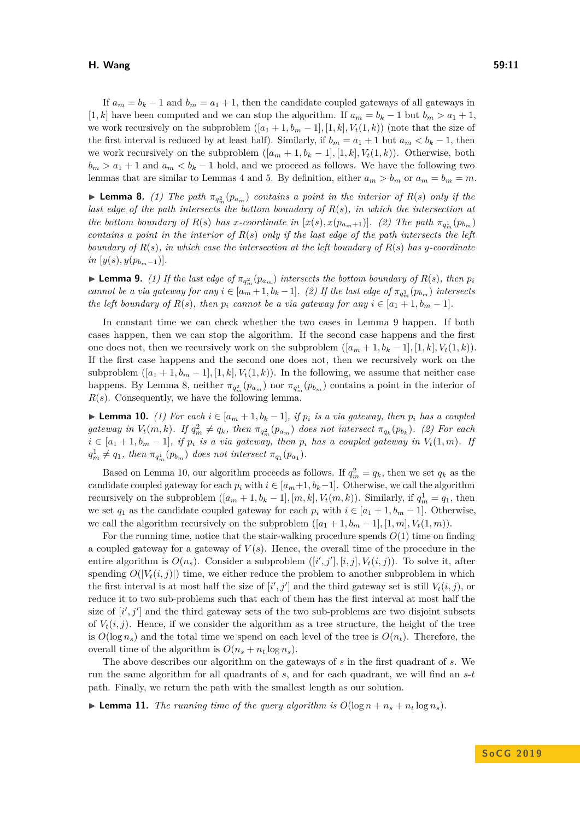## **H. Wang 59:11**

If  $a_m = b_k - 1$  and  $b_m = a_1 + 1$ , then the candidate coupled gateways of all gateways in [1, k] have been computed and we can stop the algorithm. If  $a_m = b_k - 1$  but  $b_m > a_1 + 1$ , we work recursively on the subproblem  $([a_1 + 1, b_m - 1], [1, k], V_t(1, k))$  (note that the size of the first interval is reduced by at least half). Similarly, if  $b_m = a_1 + 1$  but  $a_m < b_k - 1$ , then we work recursively on the subproblem  $([a_m + 1, b_k - 1], [1, k], V_t(1, k))$ . Otherwise, both  $b_m > a_1 + 1$  and  $a_m < b_k - 1$  hold, and we proceed as follows. We have the following two lemmas that are similar to Lemmas [4](#page-8-1) and [5.](#page-8-2) By definition, either  $a_m > b_m$  or  $a_m = b_m = m$ .

<span id="page-10-1"></span>**Lemma 8.** (1) The path  $\pi_{q_m^2}(p_{a_m})$  contains a point in the interior of  $R(s)$  only if the *last edge of the path intersects the bottom boundary of R*(*s*)*, in which the intersection at the bottom boundary of*  $R(s)$  *has x-coordinate in*  $[x(s), x(p_{a_m+1})]$ *.* (2) The path  $\pi_{q_m^1}(p_{b_m})$ *contains a point in the interior of R*(*s*) *only if the last edge of the path intersects the left boundary of*  $R(s)$ *, in which case the intersection at the left boundary of*  $R(s)$  *has y*-coordinate  $in [y(s), y(p_{b_m-1})].$ 

<span id="page-10-0"></span>**Example 1 1** *Comma 9. (1) If the last edge of*  $\pi_{q_m^2}(p_{a_m})$  intersects the bottom boundary of  $R(s)$ , then  $p_i$ *cannot be a via gateway for any*  $i \in [a_m + 1, b_k - 1]$ *.* (2) If the last edge of  $\pi_{q_m} (p_{b_m})$  intersects *the left boundary of*  $R(s)$ *, then*  $p_i$  *cannot be a via gateway for any*  $i \in [a_1 + 1, b_m - 1]$ *.* 

In constant time we can check whether the two cases in Lemma [9](#page-10-0) happen. If both cases happen, then we can stop the algorithm. If the second case happens and the first one does not, then we recursively work on the subproblem  $([a_m + 1, b_k - 1], [1, k], V_t(1, k))$ . If the first case happens and the second one does not, then we recursively work on the subproblem  $([a_1 + 1, b_m - 1], [1, k], V_t(1, k))$ . In the following, we assume that neither case happens. By Lemma [8,](#page-10-1) neither  $\pi_{q_m^2}(p_{a_m})$  nor  $\pi_{q_m^1}(p_{b_m})$  contains a point in the interior of *R*(*s*). Consequently, we have the following lemma.

<span id="page-10-2"></span>▶ **Lemma 10.** *(1) For each*  $i \in [a_m + 1, b_k - 1]$ *, if*  $p_i$  *is a via gateway, then*  $p_i$  *has a coupled* gateway in  $V_t(m, k)$ . If  $q_m^2 \neq q_k$ , then  $\pi_{q_m^2}(p_{a_m})$  does not intersect  $\pi_{q_k}(p_{b_k})$ . (2) For each  $i \in [a_1 + 1, b_m - 1]$ , if  $p_i$  is a via gateway, then  $p_i$  has a coupled gateway in  $V_t(1, m)$ . If  $q_m^1 \neq q_1$ , then  $\pi_{q_m^1}(p_{b_m})$  does not intersect  $\pi_{q_1}(p_{a_1})$ .

Based on Lemma [10,](#page-10-2) our algorithm proceeds as follows. If  $q_m^2 = q_k$ , then we set  $q_k$  as the candidate coupled gateway for each  $p_i$  with  $i \in [a_m+1, b_k-1]$ . Otherwise, we call the algorithm recursively on the subproblem  $([a_m + 1, b_k - 1], [m, k], V_t(m, k))$ . Similarly, if  $q_m^1 = q_1$ , then we set  $q_1$  as the candidate coupled gateway for each  $p_i$  with  $i \in [a_1 + 1, b_m - 1]$ . Otherwise, we call the algorithm recursively on the subproblem  $([a_1 + 1, b_m - 1], [1, m], V_t(1, m))$ .

For the running time, notice that the stair-walking procedure spends *O*(1) time on finding a coupled gateway for a gateway of  $V(s)$ . Hence, the overall time of the procedure in the entire algorithm is  $O(n_s)$ . Consider a subproblem  $([i', j'], [i, j], V_t(i, j))$ . To solve it, after spending  $O(|V_t(i,j)|)$  time, we either reduce the problem to another subproblem in which the first interval is at most half the size of  $[i', j']$  and the third gateway set is still  $V_t(i, j)$ , or reduce it to two sub-problems such that each of them has the first interval at most half the size of  $[i', j']$  and the third gateway sets of the two sub-problems are two disjoint subsets of  $V_t(i,j)$ . Hence, if we consider the algorithm as a tree structure, the height of the tree is  $O(\log n_s)$  and the total time we spend on each level of the tree is  $O(n_t)$ . Therefore, the overall time of the algorithm is  $O(n_s + n_t \log n_s)$ .

The above describes our algorithm on the gateways of *s* in the first quadrant of *s*. We run the same algorithm for all quadrants of *s*, and for each quadrant, we will find an *s*-*t* path. Finally, we return the path with the smallest length as our solution.

<span id="page-10-3"></span> $\blacktriangleright$  **Lemma 11.** *The running time of the query algorithm is*  $O(\log n + n_s + n_t \log n_s)$ *.*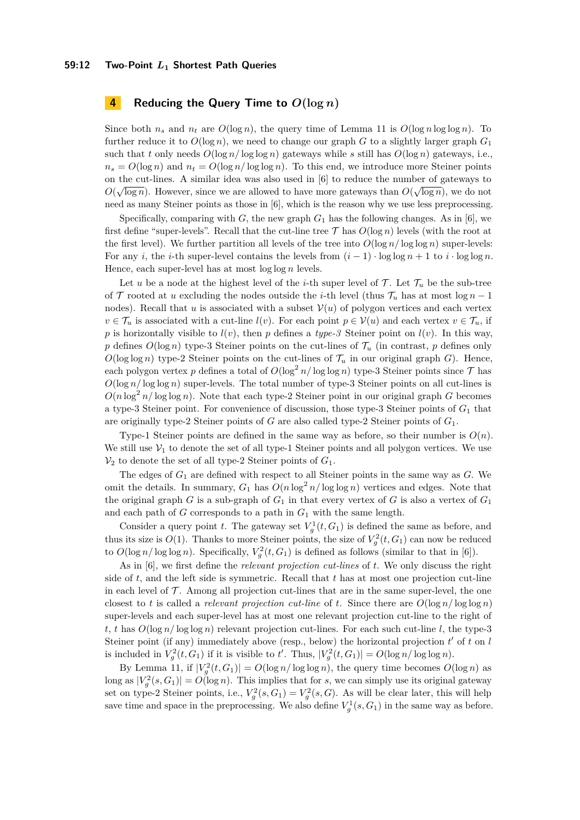## **59:12 Two-Point** *L***<sup>1</sup> Shortest Path Queries**

# <span id="page-11-0"></span>**4 Reducing the Query Time to**  $O(\log n)$

Since both  $n_s$  and  $n_t$  are  $O(\log n)$ , the query time of Lemma [11](#page-10-3) is  $O(\log n \log \log n)$ . To further reduce it to  $O(\log n)$ , we need to change our graph *G* to a slightly larger graph  $G_1$ such that *t* only needs  $O(\log n / \log \log n)$  gateways while *s* still has  $O(\log n)$  gateways, i.e.,  $n_s = O(\log n)$  and  $n_t = O(\log n / \log \log n)$ . To this end, we introduce more Steiner points on the cut-lines. A similar idea was also used in [\[6\]](#page-12-0) to reduce the number of gateways to  $\alpha$  ( $\overline{(\alpha)}$ )  $O(\sqrt{\log n})$ . However, since we are allowed to have more gateways than  $O(\sqrt{\log n})$ , we do not need as many Steiner points as those in [\[6\]](#page-12-0), which is the reason why we use less preprocessing.

Specifically, comparing with  $G$ , the new graph  $G_1$  has the following changes. As in [\[6\]](#page-12-0), we first define "super-levels". Recall that the cut-line tree  $\mathcal T$  has  $O(\log n)$  levels (with the root at the first level). We further partition all levels of the tree into  $O(\log n / \log \log n)$  super-levels: For any *i*, the *i*-th super-level contains the levels from  $(i - 1) \cdot \log \log n + 1$  to  $i \cdot \log \log n$ . Hence, each super-level has at most log log *n* levels.

Let *u* be a node at the highest level of the *i*-th super level of  $\mathcal{T}$ . Let  $\mathcal{T}_u$  be the sub-tree of  $\mathcal T$  rooted at *u* excluding the nodes outside the *i*-th level (thus  $\mathcal T_u$  has at most log *n* − 1 nodes). Recall that *u* is associated with a subset  $V(u)$  of polygon vertices and each vertex  $v \in \mathcal{T}_u$  is associated with a cut-line  $l(v)$ . For each point  $p \in \mathcal{V}(u)$  and each vertex  $v \in \mathcal{T}_u$ , if *p* is horizontally visible to  $l(v)$ , then *p* defines a *type-3* Steiner point on  $l(v)$ . In this way, p defines  $O(\log n)$  type-3 Steiner points on the cut-lines of  $\mathcal{T}_u$  (in contrast, p defines only  $O(\log \log n)$  type-2 Steiner points on the cut-lines of  $\mathcal{T}_u$  in our original graph *G*). Hence, each polygon vertex p defines a total of  $O(\log^2 n / \log \log n)$  type-3 Steiner points since  $\mathcal T$  has  $O(\log n / \log \log n)$  super-levels. The total number of type-3 Steiner points on all cut-lines is  $O(n \log^2 n / \log \log n)$ . Note that each type-2 Steiner point in our original graph *G* becomes a type-3 Steiner point. For convenience of discussion, those type-3 Steiner points of *G*<sup>1</sup> that are originally type-2 Steiner points of *G* are also called type-2 Steiner points of *G*1.

Type-1 Steiner points are defined in the same way as before, so their number is  $O(n)$ . We still use  $V_1$  to denote the set of all type-1 Steiner points and all polygon vertices. We use  $V_2$  to denote the set of all type-2 Steiner points of  $G_1$ .

The edges of *G*<sup>1</sup> are defined with respect to all Steiner points in the same way as *G*. We omit the details. In summary,  $G_1$  has  $O(n \log^2 n / \log \log n)$  vertices and edges. Note that the original graph  $G$  is a sub-graph of  $G_1$  in that every vertex of  $G$  is also a vertex of  $G_1$ and each path of *G* corresponds to a path in *G*<sup>1</sup> with the same length.

Consider a query point *t*. The gateway set  $V_g^1(t, G_1)$  is defined the same as before, and thus its size is  $O(1)$ . Thanks to more Steiner points, the size of  $V_g^2(t, G_1)$  can now be reduced to  $O(\log n / \log \log n)$ . Specifically,  $V_g^2(t, G_1)$  is defined as follows (similar to that in [\[6\]](#page-12-0)).

As in [\[6\]](#page-12-0), we first define the *relevant projection cut-lines* of *t*. We only discuss the right side of *t*, and the left side is symmetric. Recall that *t* has at most one projection cut-line in each level of  $\mathcal T$ . Among all projection cut-lines that are in the same super-level, the one closest to *t* is called a *relevant projection cut-line* of *t*. Since there are  $O(\log n / \log \log n)$ super-levels and each super-level has at most one relevant projection cut-line to the right of *t*, *t* has  $O(\log n / \log \log n)$  relevant projection cut-lines. For each such cut-line *l*, the type-3 Steiner point (if any) immediately above (resp., below) the horizontal projection  $t'$  of  $t$  on  $l$ is included in  $V_g^2(t, G_1)$  if it is visible to *t'*. Thus,  $|V_g^2(t, G_1)| = O(\log n / \log \log n)$ .

By Lemma [11,](#page-10-3) if  $|V_g^2(t, G_1)| = O(\log n / \log \log n)$ , the query time becomes  $O(\log n)$  as long as  $|V_g^2(s, G_1)| = O(\log n)$ . This implies that for *s*, we can simply use its original gateway set on type-2 Steiner points, i.e.,  $V_g^2(s, G_1) = V_g^2(s, G)$ . As will be clear later, this will help save time and space in the preprocessing. We also define  $V_g^1(s, G_1)$  in the same way as before.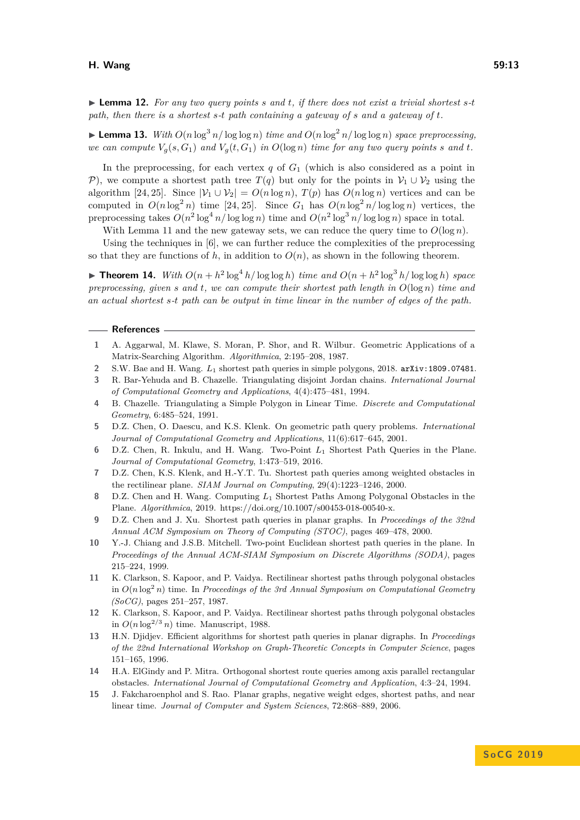$\triangleright$  **Lemma 12.** For any two query points s and t, if there does not exist a trivial shortest s-t *path, then there is a shortest s-t path containing a gateway of s and a gateway of t.*

**Lemma 13.** *With*  $O(n \log^3 n / \log \log n)$  *time and*  $O(n \log^2 n / \log \log n)$  *space preprocessing*, *we can compute*  $V_g(s, G_1)$  *and*  $V_g(t, G_1)$  *in*  $O(\log n)$  *time for any two query points s and t.* 

In the preprocessing, for each vertex  $q$  of  $G_1$  (which is also considered as a point in P), we compute a shortest path tree  $T(q)$  but only for the points in  $V_1 \cup V_2$  using the algorithm [\[24,](#page-13-5) [25\]](#page-13-6). Since  $|\mathcal{V}_1 \cup \mathcal{V}_2| = O(n \log n)$ ,  $T(p)$  has  $O(n \log n)$  vertices and can be computed in  $O(n \log^2 n)$  time [\[24,](#page-13-5) [25\]](#page-13-6). Since  $G_1$  has  $O(n \log^2 n / \log \log n)$  vertices, the preprocessing takes  $O(n^2 \log^4 n / \log \log n)$  time and  $O(n^2 \log^3 n / \log \log n)$  space in total.

With Lemma [11](#page-10-3) and the new gateway sets, we can reduce the query time to  $O(\log n)$ .

Using the techniques in [\[6\]](#page-12-0), we can further reduce the complexities of the preprocessing so that they are functions of  $h$ , in addition to  $O(n)$ , as shown in the following theorem.

**Fineorem 14.** *With*  $O(n + h^2 \log^4 h / \log \log h)$  *time and*  $O(n + h^2 \log^3 h / \log \log h)$  *space preprocessing, given s* and *t*, we can compute their shortest path length in  $O(\log n)$  *time and an actual shortest s-t path can be output in time linear in the number of edges of the path.*

#### **References**

- <span id="page-12-14"></span>**1** A. Aggarwal, M. Klawe, S. Moran, P. Shor, and R. Wilbur. Geometric Applications of a Matrix-Searching Algorithm. *Algorithmica*, 2:195–208, 1987.
- <span id="page-12-2"></span>**2** S.W. Bae and H. Wang. *L*<sup>1</sup> shortest path queries in simple polygons, 2018. [arXiv:1809.07481](http://arxiv.org/abs/1809.07481).
- <span id="page-12-7"></span>**3** R. Bar-Yehuda and B. Chazelle. Triangulating disjoint Jordan chains. *International Journal of Computational Geometry and Applications*, 4(4):475–481, 1994.
- <span id="page-12-8"></span>**4** B. Chazelle. Triangulating a Simple Polygon in Linear Time. *Discrete and Computational Geometry*, 6:485–524, 1991.
- <span id="page-12-10"></span>**5** D.Z. Chen, O. Daescu, and K.S. Klenk. On geometric path query problems. *International Journal of Computational Geometry and Applications*, 11(6):617–645, 2001.
- <span id="page-12-0"></span>**6** D.Z. Chen, R. Inkulu, and H. Wang. Two-Point *L*<sup>1</sup> Shortest Path Queries in the Plane. *Journal of Computational Geometry*, 1:473–519, 2016.
- <span id="page-12-1"></span>**7** D.Z. Chen, K.S. Klenk, and H.-Y.T. Tu. Shortest path queries among weighted obstacles in the rectilinear plane. *SIAM Journal on Computing*, 29(4):1223–1246, 2000.
- <span id="page-12-4"></span>**8** D.Z. Chen and H. Wang. Computing *L*<sup>1</sup> Shortest Paths Among Polygonal Obstacles in the Plane. *Algorithmica*, 2019. https://doi.org/10.1007/s00453-018-00540-x.
- <span id="page-12-11"></span>**9** D.Z. Chen and J. Xu. Shortest path queries in planar graphs. In *Proceedings of the 32nd Annual ACM Symposium on Theory of Computing (STOC)*, pages 469–478, 2000.
- <span id="page-12-9"></span>**10** Y.-J. Chiang and J.S.B. Mitchell. Two-point Euclidean shortest path queries in the plane. In *Proceedings of the Annual ACM-SIAM Symposium on Discrete Algorithms (SODA)*, pages 215–224, 1999.
- <span id="page-12-5"></span>**11** K. Clarkson, S. Kapoor, and P. Vaidya. Rectilinear shortest paths through polygonal obstacles in  $O(n \log^2 n)$  time. In *Proceedings of the 3rd Annual Symposium on Computational Geometry (SoCG)*, pages 251–257, 1987.
- <span id="page-12-6"></span>**12** K. Clarkson, S. Kapoor, and P. Vaidya. Rectilinear shortest paths through polygonal obstacles in  $O(n \log^{2/3} n)$  time. Manuscript, 1988.
- <span id="page-12-12"></span>**13** H.N. Djidjev. Efficient algorithms for shortest path queries in planar digraphs. In *Proceedings of the 22nd International Workshop on Graph-Theoretic Concepts in Computer Science*, pages 151–165, 1996.
- <span id="page-12-3"></span>**14** H.A. ElGindy and P. Mitra. Orthogonal shortest route queries among axis parallel rectangular obstacles. *International Journal of Computational Geometry and Application*, 4:3–24, 1994.
- <span id="page-12-13"></span>**15** J. Fakcharoenphol and S. Rao. Planar graphs, negative weight edges, shortest paths, and near linear time. *Journal of Computer and System Sciences*, 72:868–889, 2006.